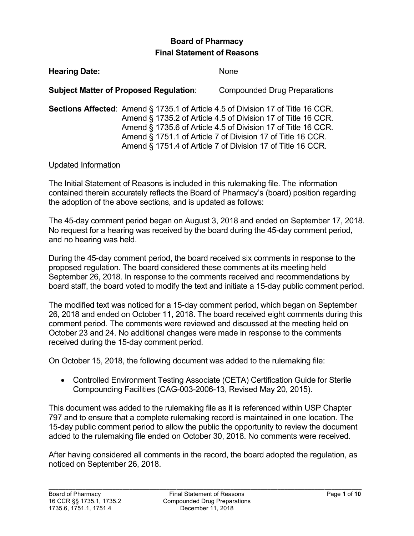# **Board of Pharmacy Final Statement of Reasons**

| <b>Hearing Date:</b> |                                               | None                                                                                                                                                                                                                                                                                                                                                    |
|----------------------|-----------------------------------------------|---------------------------------------------------------------------------------------------------------------------------------------------------------------------------------------------------------------------------------------------------------------------------------------------------------------------------------------------------------|
|                      | <b>Subject Matter of Proposed Regulation:</b> | <b>Compounded Drug Preparations</b>                                                                                                                                                                                                                                                                                                                     |
|                      |                                               | <b>Sections Affected:</b> Amend § 1735.1 of Article 4.5 of Division 17 of Title 16 CCR.<br>Amend § 1735.2 of Article 4.5 of Division 17 of Title 16 CCR.<br>Amend § 1735.6 of Article 4.5 of Division 17 of Title 16 CCR.<br>Amend § 1751.1 of Article 7 of Division 17 of Title 16 CCR.<br>Amend § 1751.4 of Article 7 of Division 17 of Title 16 CCR. |

#### Updated Information

The Initial Statement of Reasons is included in this rulemaking file. The information contained therein accurately reflects the Board of Pharmacy's (board) position regarding the adoption of the above sections, and is updated as follows:

 No request for a hearing was received by the board during the 45-day comment period, and no hearing was held. The 45-day comment period began on August 3, 2018 and ended on September 17, 2018.

 During the 45-day comment period, the board received six comments in response to the proposed regulation. The board considered these comments at its meeting held September 26, 2018. In response to the comments received and recommendations by board staff, the board voted to modify the text and initiate a 15-day public comment period.

 26, 2018 and ended on October 11, 2018. The board received eight comments during this comment period. The comments were reviewed and discussed at the meeting held on received during the 15-day comment period. The modified text was noticed for a 15-day comment period, which began on September October 23 and 24. No additional changes were made in response to the comments

On October 15, 2018, the following document was added to the rulemaking file:

 Compounding Facilities (CAG-003-2006-13, Revised May 20, 2015). • Controlled Environment Testing Associate (CETA) Certification Guide for Sterile

 added to the rulemaking file ended on October 30, 2018. No comments were received. This document was added to the rulemaking file as it is referenced within USP Chapter 797 and to ensure that a complete rulemaking record is maintained in one location. The 15-day public comment period to allow the public the opportunity to review the document

 After having considered all comments in the record, the board adopted the regulation, as noticed on September 26, 2018.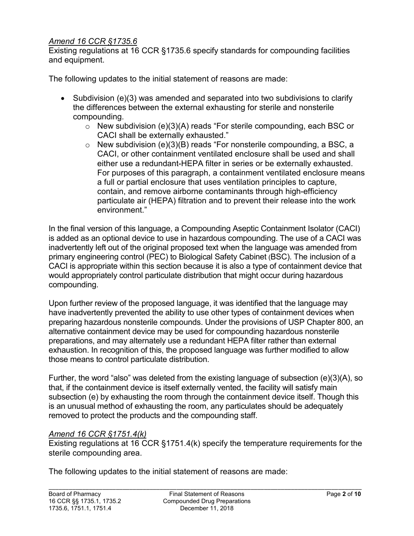#### *Amend 16 CCR §1735.6*

 Existing regulations at 16 CCR §1735.6 specify standards for compounding facilities and equipment.

The following updates to the initial statement of reasons are made:

- Subdivision (e)(3) was amended and separated into two subdivisions to clarify the differences between the external exhausting for sterile and nonsterile compounding.
	- $\circ$  New subdivision (e)(3)(A) reads "For sterile compounding, each BSC or CACI shall be externally exhausted."
	- CACI, or other containment ventilated enclosure shall be used and shall environment"  $\circ$  New subdivision (e)(3)(B) reads "For nonsterile compounding, a BSC, a either use a redundant-HEPA filter in series or be externally exhausted. For purposes of this paragraph, a containment ventilated enclosure means a full or partial enclosure that uses ventilation principles to capture, contain, and remove airborne contaminants through high-efficiency particulate air (HEPA) filtration and to prevent their release into the work

 environment." In the final version of this language, a Compounding Aseptic Containment Isolator (CACI) inadvertently left out of the original proposed text when the language was amended from CACI is appropriate within this section because it is also a type of containment device that would appropriately control particulate distribution that might occur during hazardous is added as an optional device to use in hazardous compounding. The use of a CACI was primary engineering control (PEC) to Biological Safety Cabinet (BSC). The inclusion of a compounding.

 have inadvertently prevented the ability to use other types of containment devices when preparing hazardous nonsterile compounds. Under the provisions of USP Chapter 800, an alternative containment device may be used for compounding hazardous nonsterile preparations, and may alternately use a redundant HEPA filter rather than external exhaustion. In recognition of this, the proposed language was further modified to allow Upon further review of the proposed language, it was identified that the language may those means to control particulate distribution.

 that, if the containment device is itself externally vented, the facility will satisfy main subsection (e) by exhausting the room through the containment device itself. Though this is an unusual method of exhausting the room, any particulates should be adequately Further, the word "also" was deleted from the existing language of subsection (e)(3)(A), so removed to protect the products and the compounding staff.

#### *Amend 16 CCR §1751.4(k)*

 Existing regulations at 16 CCR §1751.4(k) specify the temperature requirements for the sterile compounding area.

sterile compounding area.<br>The following updates to the initial statement of reasons are made: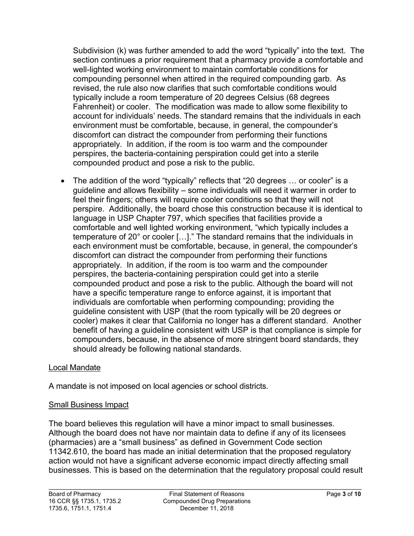Subdivision (k) was further amended to add the word "typically" into the text. The compounding personnel when attired in the required compounding garb. As Fahrenheit) or cooler. The modification was made to allow some flexibility to environment must be comfortable, because, in general, the compounder's discomfort can distract the compounder from performing their functions appropriately. In addition, if the room is too warm and the compounder section continues a prior requirement that a pharmacy provide a comfortable and well-lighted working environment to maintain comfortable conditions for revised, the rule also now clarifies that such comfortable conditions would typically include a room temperature of 20 degrees Celsius (68 degrees account for individuals' needs. The standard remains that the individuals in each perspires, the bacteria-containing perspiration could get into a sterile compounded product and pose a risk to the public.

 perspire. Additionally, the board chose this construction because it is identical to language in USP Chapter 797, which specifies that facilities provide a temperature of 20° or cooler […]." The standard remains that the individuals in discomfort can distract the compounder from performing their functions appropriately. In addition, if the room is too warm and the compounder cooler) makes it clear that California no longer has a different standard. Another compounders, because, in the absence of more stringent board standards, they should already be following national standards.<br>Local Mandate • The addition of the word "typically" reflects that "20 degrees … or cooler" is a guideline and allows flexibility – some individuals will need it warmer in order to feel their fingers; others will require cooler conditions so that they will not comfortable and well lighted working environment, "which typically includes a each environment must be comfortable, because, in general, the compounder's perspires, the bacteria-containing perspiration could get into a sterile compounded product and pose a risk to the public. Although the board will not have a specific temperature range to enforce against, it is important that individuals are comfortable when performing compounding; providing the guideline consistent with USP (that the room typically will be 20 degrees or benefit of having a guideline consistent with USP is that compliance is simple for

A mandate is not imposed on local agencies or school districts.

#### Small Business Impact

 businesses. This is based on the determination that the regulatory proposal could result The board believes this regulation will have a minor impact to small businesses. Although the board does not have nor maintain data to define if any of its licensees (pharmacies) are a "small business" as defined in Government Code section 11342.610, the board has made an initial determination that the proposed regulatory action would not have a significant adverse economic impact directly affecting small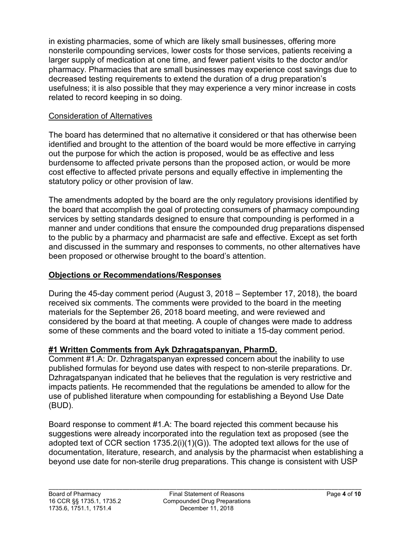in existing pharmacies, some of which are likely small businesses, offering more nonsterile compounding services, lower costs for those services, patients receiving a larger supply of medication at one time, and fewer patient visits to the doctor and/or pharmacy. Pharmacies that are small businesses may experience cost savings due to decreased testing requirements to extend the duration of a drug preparation's usefulness; it is also possible that they may experience a very minor increase in costs related to record keeping in so doing.

#### Consideration of Alternatives

The board has determined that no alternative it considered or that has otherwise been identified and brought to the attention of the board would be more effective in carrying out the purpose for which the action is proposed, would be as effective and less burdensome to affected private persons than the proposed action, or would be more cost effective to affected private persons and equally effective in implementing the statutory policy or other provision of law.

The amendments adopted by the board are the only regulatory provisions identified by the board that accomplish the goal of protecting consumers of pharmacy compounding services by setting standards designed to ensure that compounding is performed in a manner and under conditions that ensure the compounded drug preparations dispensed to the public by a pharmacy and pharmacist are safe and effective. Except as set forth and discussed in the summary and responses to comments, no other alternatives have been proposed or otherwise brought to the board's attention.

## **Objections or Recommendations/Responses**

 materials for the September 26, 2018 board meeting, and were reviewed and During the 45-day comment period (August 3, 2018 – September 17, 2018), the board received six comments. The comments were provided to the board in the meeting considered by the board at that meeting. A couple of changes were made to address some of these comments and the board voted to initiate a 15-day comment period.

# **#1 Written Comments from Ayk Dzhragatspanyan, PharmD.**

 Comment #1.A: Dr. Dzhragatspanyan expressed concern about the inability to use published formulas for beyond use dates with respect to non-sterile preparations. Dr. Dzhragatspanyan indicated that he believes that the regulation is very restrictive and impacts patients. He recommended that the regulations be amended to allow for the use of published literature when compounding for establishing a Beyond Use Date (BUD).

 suggestions were already incorporated into the regulation text as proposed (see the Board response to comment #1.A: The board rejected this comment because his adopted text of CCR section 1735.2(i)(1)(G)). The adopted text allows for the use of documentation, literature, research, and analysis by the pharmacist when establishing a beyond use date for non-sterile drug preparations. This change is consistent with USP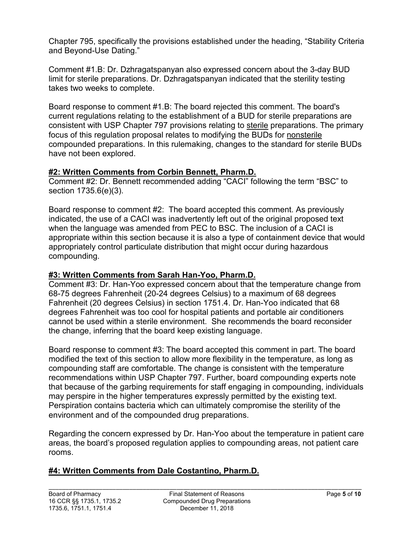Chapter 795, specifically the provisions established under the heading, "Stability Criteria and Beyond-Use Dating."

Comment #1.B: Dr. Dzhragatspanyan also expressed concern about the 3-day BUD limit for sterile preparations. Dr. Dzhragatspanyan indicated that the sterility testing takes two weeks to complete.

focus of this regulation proposal relates to modifying the BUDs for <u>nonsterile</u> Board response to comment #1.B: The board rejected this comment. The board's current regulations relating to the establishment of a BUD for sterile preparations are consistent with USP Chapter 797 provisions relating to sterile preparations. The primary compounded preparations. In this rulemaking, changes to the standard for sterile BUDs have not been explored.

## **#2: Written Comments from Corbin Bennett, Pharm.D.**

Comment #2: Dr. Bennett recommended adding "CACI" following the term "BSC" to section 1735.6(e)(3).

 Board response to comment #2: The board accepted this comment. As previously when the language was amended from PEC to BSC. The inclusion of a CACI is appropriately control particulate distribution that might occur during hazardous indicated, the use of a CACI was inadvertently left out of the original proposed text appropriate within this section because it is also a type of containment device that would compounding.

## **#3: Written Comments from Sarah Han-Yoo, Pharm.D.**

 degrees Fahrenheit was too cool for hospital patients and portable air conditioners cannot be used within a sterile environment. She recommends the board reconsider Comment #3: Dr. Han-Yoo expressed concern about that the temperature change from 68-75 degrees Fahrenheit (20-24 degrees Celsius) to a maximum of 68 degrees Fahrenheit (20 degrees Celsius) in section 1751.4. Dr. Han-Yoo indicated that 68 the change, inferring that the board keep existing language.

 modified the text of this section to allow more flexibility in the temperature, as long as compounding staff are comfortable. The change is consistent with the temperature that because of the garbing requirements for staff engaging in compounding, individuals Board response to comment #3: The board accepted this comment in part. The board recommendations within USP Chapter 797. Further, board compounding experts note may perspire in the higher temperatures expressly permitted by the existing text. Perspiration contains bacteria which can ultimately compromise the sterility of the environment and of the compounded drug preparations.

Regarding the concern expressed by Dr. Han-Yoo about the temperature in patient care areas, the board's proposed regulation applies to compounding areas, not patient care rooms.

## **#4: Written Comments from Dale Costantino, Pharm.D.**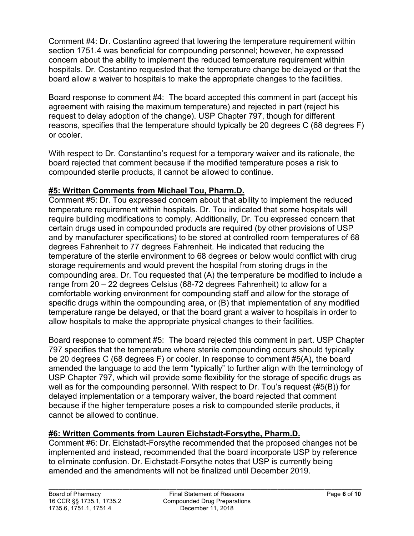Comment #4: Dr. Costantino agreed that lowering the temperature requirement within section 1751.4 was beneficial for compounding personnel; however, he expressed concern about the ability to implement the reduced temperature requirement within hospitals. Dr. Costantino requested that the temperature change be delayed or that the board allow a waiver to hospitals to make the appropriate changes to the facilities.

 Board response to comment #4: The board accepted this comment in part (accept his agreement with raising the maximum temperature) and rejected in part (reject his request to delay adoption of the change). USP Chapter 797, though for different reasons, specifies that the temperature should typically be 20 degrees C (68 degrees F) or cooler.

 With respect to Dr. Constantino's request for a temporary waiver and its rationale, the compounded sterile products, it cannot be allowed to continue. board rejected that comment because if the modified temperature poses a risk to

## **#5: Written Comments from Michael Tou, Pharm.D.**

 Comment #5: Dr. Tou expressed concern about that ability to implement the reduced range from 20 – 22 degrees Celsius (68-72 degrees Fahrenheit) to allow for a temperature requirement within hospitals. Dr. Tou indicated that some hospitals will require building modifications to comply. Additionally, Dr. Tou expressed concern that certain drugs used in compounded products are required (by other provisions of USP and by manufacturer specifications) to be stored at controlled room temperatures of 68 degrees Fahrenheit to 77 degrees Fahrenheit. He indicated that reducing the temperature of the sterile environment to 68 degrees or below would conflict with drug storage requirements and would prevent the hospital from storing drugs in the compounding area. Dr. Tou requested that (A) the temperature be modified to include a comfortable working environment for compounding staff and allow for the storage of specific drugs within the compounding area, or (B) that implementation of any modified temperature range be delayed, or that the board grant a waiver to hospitals in order to allow hospitals to make the appropriate physical changes to their facilities.

 Board response to comment #5: The board rejected this comment in part. USP Chapter well as for the compounding personnel. With respect to Dr. Tou's request (#5(B)) for delayed implementation or a temporary waiver, the board rejected that comment 797 specifies that the temperature where sterile compounding occurs should typically be 20 degrees C (68 degrees F) or cooler. In response to comment #5(A), the board amended the language to add the term "typically" to further align with the terminology of USP Chapter 797, which will provide some flexibility for the storage of specific drugs as because if the higher temperature poses a risk to compounded sterile products, it cannot be allowed to continue.

# **#6: Written Comments from Lauren Eichstadt-Forsythe, Pharm.D.**

Comment #6: Dr. Eichstadt-Forsythe recommended that the proposed changes not be implemented and instead, recommended that the board incorporate USP by reference to eliminate confusion. Dr. Eichstadt-Forsythe notes that USP is currently being amended and the amendments will not be finalized until December 2019.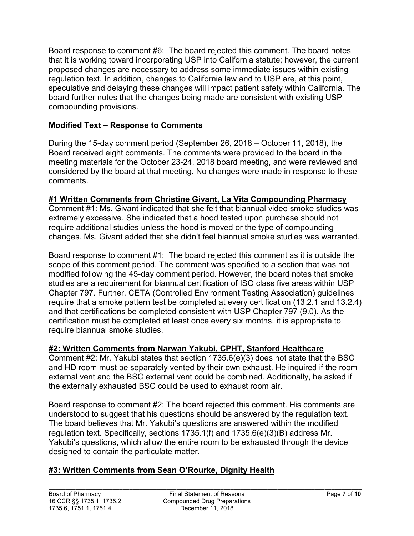Board response to comment #6: The board rejected this comment. The board notes speculative and delaying these changes will impact patient safety within California. The that it is working toward incorporating USP into California statute; however, the current proposed changes are necessary to address some immediate issues within existing regulation text. In addition, changes to California law and to USP are, at this point, board further notes that the changes being made are consistent with existing USP compounding provisions.

# **Modified Text – Response to Comments**

 During the 15-day comment period (September 26, 2018 – October 11, 2018), the Board received eight comments. The comments were provided to the board in the meeting materials for the October 23-24, 2018 board meeting, and were reviewed and considered by the board at that meeting. No changes were made in response to these comments.

## **#1 Written Comments from Christine Givant, La Vita Compounding Pharmacy**

 require additional studies unless the hood is moved or the type of compounding Comment #1: Ms. Givant indicated that she felt that biannual video smoke studies was extremely excessive. She indicated that a hood tested upon purchase should not changes. Ms. Givant added that she didn't feel biannual smoke studies was warranted.

 Board response to comment #1: The board rejected this comment as it is outside the certification must be completed at least once every six months, it is appropriate to scope of this comment period. The comment was specified to a section that was not modified following the 45-day comment period. However, the board notes that smoke studies are a requirement for biannual certification of ISO class five areas within USP Chapter 797. Further, CETA (Controlled Environment Testing Association) guidelines require that a smoke pattern test be completed at every certification (13.2.1 and 13.2.4) and that certifications be completed consistent with USP Chapter 797 (9.0). As the require biannual smoke studies.

## **#2: Written Comments from Narwan Yakubi, CPHT, Stanford Healthcare**

 Comment #2: Mr. Yakubi states that section 1735.6(e)(3) does not state that the BSC and HD room must be separately vented by their own exhaust. He inquired if the room external vent and the BSC external vent could be combined. Additionally, he asked if the externally exhausted BSC could be used to exhaust room air.

 understood to suggest that his questions should be answered by the regulation text. Board response to comment #2: The board rejected this comment. His comments are The board believes that Mr. Yakubi's questions are answered within the modified regulation text. Specifically, sections 1735.1(f) and 1735.6(e)(3)(B) address Mr. Yakubi's questions, which allow the entire room to be exhausted through the device designed to contain the particulate matter.

# **#3: Written Comments from Sean O'Rourke, Dignity Health**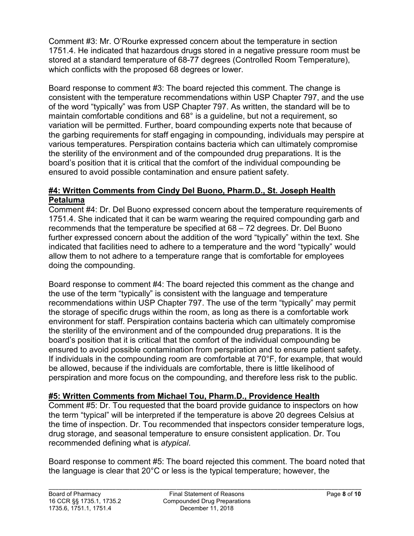1751.4. He indicated that hazardous drugs stored in a negative pressure room must be Comment #3: Mr. O'Rourke expressed concern about the temperature in section stored at a standard temperature of 68-77 degrees (Controlled Room Temperature), which conflicts with the proposed 68 degrees or lower.

 variation will be permitted. Further, board compounding experts note that because of ensured to avoid possible contamination and ensure patient safety. Board response to comment #3: The board rejected this comment. The change is consistent with the temperature recommendations within USP Chapter 797, and the use of the word "typically" was from USP Chapter 797. As written, the standard will be to maintain comfortable conditions and 68° is a guideline, but not a requirement, so the garbing requirements for staff engaging in compounding, individuals may perspire at various temperatures. Perspiration contains bacteria which can ultimately compromise the sterility of the environment and of the compounded drug preparations. It is the board's position that it is critical that the comfort of the individual compounding be

#### **#4: Written Comments from Cindy Del Buono, Pharm.D., St. Joseph Health Petaluma**

 Comment #4: Dr. Del Buono expressed concern about the temperature requirements of recommends that the temperature be specified at 68 – 72 degrees. Dr. Del Buono 1751.4. She indicated that it can be warm wearing the required compounding garb and further expressed concern about the addition of the word "typically" within the text. She indicated that facilities need to adhere to a temperature and the word "typically" would allow them to not adhere to a temperature range that is comfortable for employees doing the compounding.

 recommendations within USP Chapter 797. The use of the term "typically" may permit the storage of specific drugs within the room, as long as there is a comfortable work be allowed, because if the individuals are comfortable, there is little likelihood of Board response to comment #4: The board rejected this comment as the change and the use of the term "typically" is consistent with the language and temperature environment for staff. Perspiration contains bacteria which can ultimately compromise the sterility of the environment and of the compounded drug preparations. It is the board's position that it is critical that the comfort of the individual compounding be ensured to avoid possible contamination from perspiration and to ensure patient safety. If individuals in the compounding room are comfortable at 70°F, for example, that would perspiration and more focus on the compounding, and therefore less risk to the public.

## **#5: Written Comments from Michael Tou, Pharm.D., Providence Health**

Comment #5: Dr. Tou requested that the board provide guidance to inspectors on how the term "typical" will be interpreted if the temperature is above 20 degrees Celsius at the time of inspection. Dr. Tou recommended that inspectors consider temperature logs, drug storage, and seasonal temperature to ensure consistent application. Dr. Tou recommended defining what is *atypical*.

 the language is clear that 20°C or less is the typical temperature; however, the Board response to comment #5: The board rejected this comment. The board noted that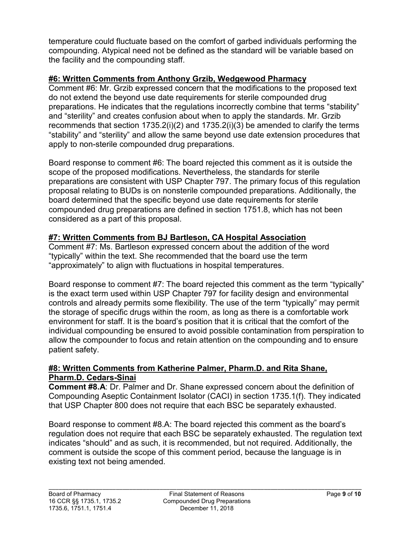compounding. Atypical need not be defined as the standard will be variable based on temperature could fluctuate based on the comfort of garbed individuals performing the the facility and the compounding staff.

#### **#6: Written Comments from Anthony Grzib, Wedgewood Pharmacy**

Comment #6: Mr. Grzib expressed concern that the modifications to the proposed text do not extend the beyond use date requirements for sterile compounded drug preparations. He indicates that the regulations incorrectly combine that terms "stability" and "sterility" and creates confusion about when to apply the standards. Mr. Grzib recommends that section 1735.2(i)(2) and 1735.2(i)(3) be amended to clarify the terms "stability" and "sterility" and allow the same beyond use date extension procedures that apply to non-sterile compounded drug preparations.

 preparations are consistent with USP Chapter 797. The primary focus of this regulation proposal relating to BUDs is on nonsterile compounded preparations. Additionally, the Board response to comment #6: The board rejected this comment as it is outside the scope of the proposed modifications. Nevertheless, the standards for sterile board determined that the specific beyond use date requirements for sterile compounded drug preparations are defined in section 1751.8, which has not been considered as a part of this proposal.

# **#7: Written Comments from BJ Bartleson, CA Hospital Association**

Comment #7: Ms. Bartleson expressed concern about the addition of the word "typically" within the text. She recommended that the board use the term "approximately" to align with fluctuations in hospital temperatures.

 is the exact term used within USP Chapter 797 for facility design and environmental controls and already permits some flexibility. The use of the term "typically" may permit the storage of specific drugs within the room, as long as there is a comfortable work Board response to comment #7: The board rejected this comment as the term "typically" environment for staff. It is the board's position that it is critical that the comfort of the individual compounding be ensured to avoid possible contamination from perspiration to allow the compounder to focus and retain attention on the compounding and to ensure patient safety.

#### **#8: Written Comments from Katherine Palmer, Pharm.D. and Rita Shane, Pharm.D. Cedars-Sinai**

**Comment #8.A**: Dr. Palmer and Dr. Shane expressed concern about the definition of Compounding Aseptic Containment Isolator (CACI) in section 1735.1(f). They indicated that USP Chapter 800 does not require that each BSC be separately exhausted.

 Board response to comment #8.A: The board rejected this comment as the board's regulation does not require that each BSC be separately exhausted. The regulation text indicates "should" and as such, it is recommended, but not required. Additionally, the comment is outside the scope of this comment period, because the language is in existing text not being amended.